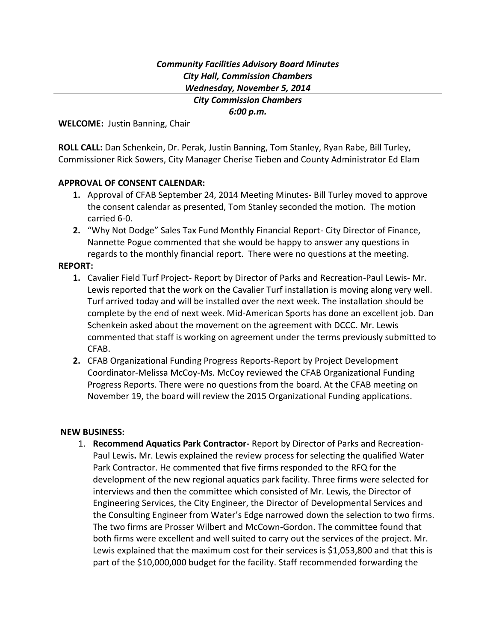# *Community Facilities Advisory Board Minutes City Hall, Commission Chambers Wednesday, November 5, 2014*

*City Commission Chambers 6:00 p.m.*

**WELCOME:** Justin Banning, Chair

**ROLL CALL:** Dan Schenkein, Dr. Perak, Justin Banning, Tom Stanley, Ryan Rabe, Bill Turley, Commissioner Rick Sowers, City Manager Cherise Tieben and County Administrator Ed Elam

### **APPROVAL OF CONSENT CALENDAR:**

- **1.** Approval of CFAB September 24, 2014 Meeting Minutes- Bill Turley moved to approve the consent calendar as presented, Tom Stanley seconded the motion. The motion carried 6-0.
- **2.** "Why Not Dodge" Sales Tax Fund Monthly Financial Report- City Director of Finance, Nannette Pogue commented that she would be happy to answer any questions in regards to the monthly financial report. There were no questions at the meeting.

#### **REPORT:**

- **1.** Cavalier Field Turf Project- Report by Director of Parks and Recreation-Paul Lewis- Mr. Lewis reported that the work on the Cavalier Turf installation is moving along very well. Turf arrived today and will be installed over the next week. The installation should be complete by the end of next week. Mid-American Sports has done an excellent job. Dan Schenkein asked about the movement on the agreement with DCCC. Mr. Lewis commented that staff is working on agreement under the terms previously submitted to CFAB.
- **2.** CFAB Organizational Funding Progress Reports-Report by Project Development Coordinator-Melissa McCoy-Ms. McCoy reviewed the CFAB Organizational Funding Progress Reports. There were no questions from the board. At the CFAB meeting on November 19, the board will review the 2015 Organizational Funding applications.

#### **NEW BUSINESS:**

1. **Recommend Aquatics Park Contractor-** Report by Director of Parks and Recreation-Paul Lewis**.** Mr. Lewis explained the review process for selecting the qualified Water Park Contractor. He commented that five firms responded to the RFQ for the development of the new regional aquatics park facility. Three firms were selected for interviews and then the committee which consisted of Mr. Lewis, the Director of Engineering Services, the City Engineer, the Director of Developmental Services and the Consulting Engineer from Water's Edge narrowed down the selection to two firms. The two firms are Prosser Wilbert and McCown-Gordon. The committee found that both firms were excellent and well suited to carry out the services of the project. Mr. Lewis explained that the maximum cost for their services is \$1,053,800 and that this is part of the \$10,000,000 budget for the facility. Staff recommended forwarding the